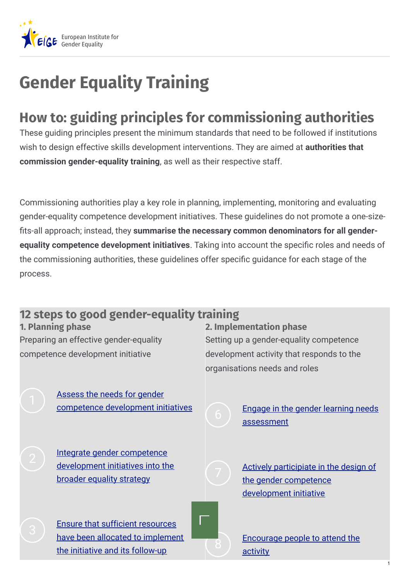

## **Gender Equality Training**

## **How to: guiding principles for commissioning authorities**

These guiding principles present the minimum standards that need to be followed if institutions wish to design effective skills development interventions. They are aimed at **authorities that commission gender-equality training**, as well as their respective staff.

Commissioning authorities play a key role in planning, implementing, monitoring and evaluating gender-equality competence development initiatives. These guidelines do not promote a one-size ts-all approach; instead, they **summarise the necessary common denominators for all genderequality competence development initiatives**. Taking into account the specific roles and needs of the commissioning authorities, these guidelines offer specific guidance for each stage of the process.